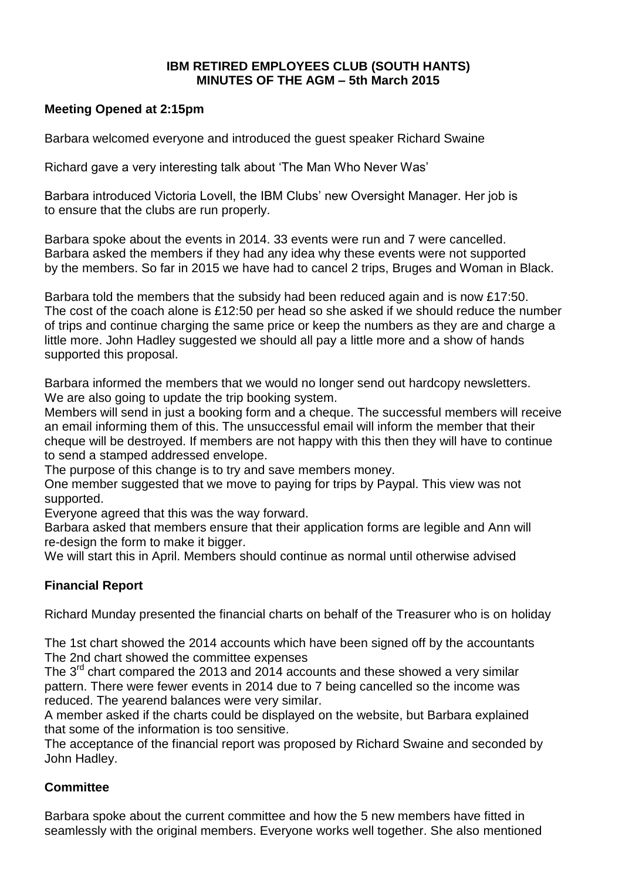#### **IBM RETIRED EMPLOYEES CLUB (SOUTH HANTS) MINUTES OF THE AGM – 5th March 2015**

### **Meeting Opened at 2:15pm**

Barbara welcomed everyone and introduced the guest speaker Richard Swaine

Richard gave a very interesting talk about 'The Man Who Never Was'

Barbara introduced Victoria Lovell, the IBM Clubs' new Oversight Manager. Her job is to ensure that the clubs are run properly.

Barbara spoke about the events in 2014. 33 events were run and 7 were cancelled. Barbara asked the members if they had any idea why these events were not supported by the members. So far in 2015 we have had to cancel 2 trips, Bruges and Woman in Black.

Barbara told the members that the subsidy had been reduced again and is now £17:50. The cost of the coach alone is £12:50 per head so she asked if we should reduce the number of trips and continue charging the same price or keep the numbers as they are and charge a little more. John Hadley suggested we should all pay a little more and a show of hands supported this proposal.

Barbara informed the members that we would no longer send out hardcopy newsletters. We are also going to update the trip booking system.

Members will send in just a booking form and a cheque. The successful members will receive an email informing them of this. The unsuccessful email will inform the member that their cheque will be destroyed. If members are not happy with this then they will have to continue to send a stamped addressed envelope.

The purpose of this change is to try and save members money.

One member suggested that we move to paying for trips by Paypal. This view was not supported.

Everyone agreed that this was the way forward.

Barbara asked that members ensure that their application forms are legible and Ann will re-design the form to make it bigger.

We will start this in April. Members should continue as normal until otherwise advised

# **Financial Report**

Richard Munday presented the financial charts on behalf of the Treasurer who is on holiday

The 1st chart showed the 2014 accounts which have been signed off by the accountants The 2nd chart showed the committee expenses

The 3<sup>rd</sup> chart compared the 2013 and 2014 accounts and these showed a very similar pattern. There were fewer events in 2014 due to 7 being cancelled so the income was reduced. The yearend balances were very similar.

A member asked if the charts could be displayed on the website, but Barbara explained that some of the information is too sensitive.

The acceptance of the financial report was proposed by Richard Swaine and seconded by John Hadley.

### **Committee**

Barbara spoke about the current committee and how the 5 new members have fitted in seamlessly with the original members. Everyone works well together. She also mentioned